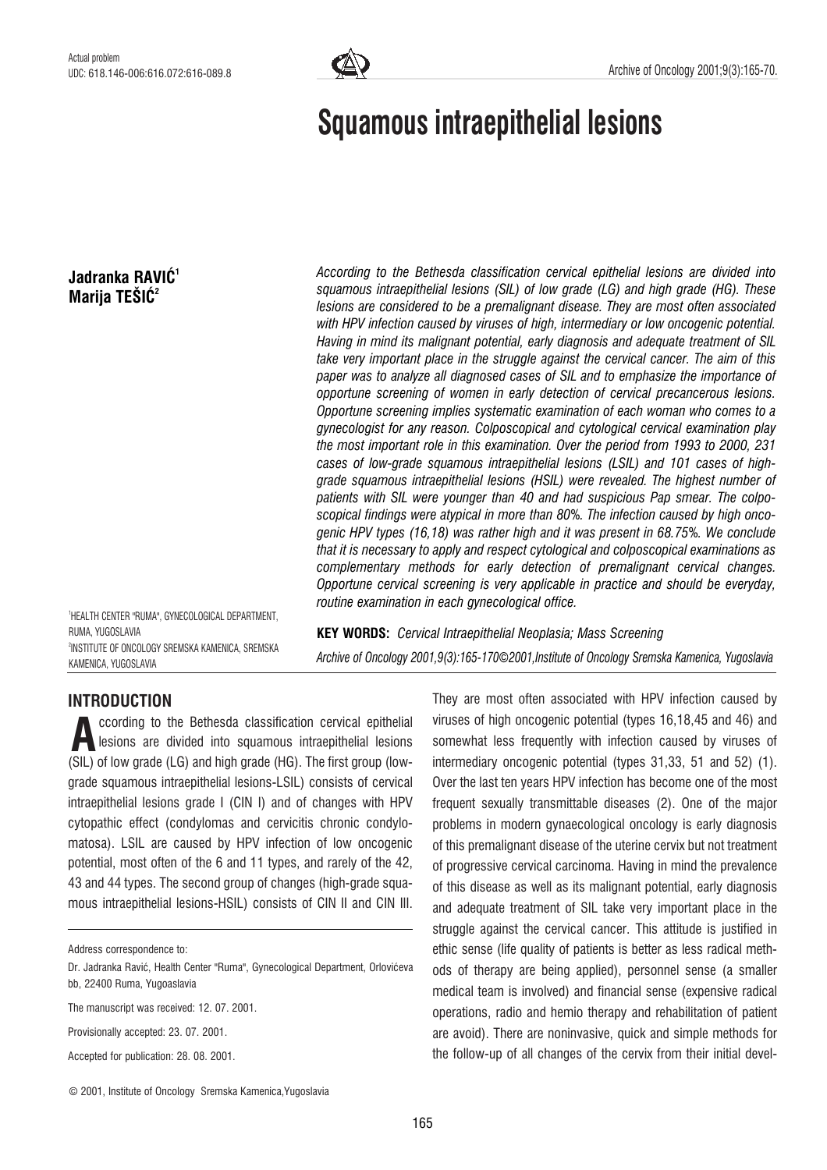

# Squamous intraepithelial lesions

# Jadranka RAVIĆ<sup>1</sup> Marija TEŠIĆ $2$

According to the Bethesda classification cervical epithelial lesions are divided into squamous intraepithelial lesions (SIL) of low grade (LG) and high grade (HG). These lesions are considered to be a premalignant disease. They are most often associated with HPV infection caused by viruses of high, intermediary or low oncogenic potential. Having in mind its malignant potential, early diagnosis and adequate treatment of SIL take very important place in the struggle against the cervical cancer. The aim of this paper was to analyze all diagnosed cases of SIL and to emphasize the importance of opportune screening of women in early detection of cervical precancerous lesions. Opportune screening implies systematic examination of each woman who comes to a gynecologist for any reason. Colposcopical and cytological cervical examination play the most important role in this examination. Over the period from 1993 to 2000, 231 cases of low-grade squamous intraepithelial lesions (LSIL) and 101 cases of highgrade squamous intraepithelial lesions (HSIL) were revealed. The highest number of patients with SIL were younger than 40 and had suspicious Pap smear. The colposcopical findings were atypical in more than 80%. The infection caused by high oncogenic HPV types (16,18) was rather high and it was present in 68.75%. We conclude that it is necessary to apply and respect cytological and colposcopical examinations as complementary methods for early detection of premalignant cervical changes. Opportune cervical screening is very applicable in practice and should be everyday, routine examination in each gynecological office.

1 HEALTH CENTER "RUMA", GYNECOLOGICAL DEPARTMENT, RUMA, YUGOSLAVIA 2 INSTITUTE OF ONCOLOGY SREMSKA KAMENICA, SREMSKA KAMENICA, YUGOSLAVIA

KEY WORDS: Cervical Intraepithelial Neoplasia; Mass Screening Archive of Oncology 2001,9(3):165-170*©*2001,Institute of Oncology Sremska Kamenica, Yugoslavia

## INTRODUCTION

ccording to the Bethesda classification cervical epithelial lesions are divided into squamous intraepithelial lesions (SIL) of low grade (LG) and high grade (HG). The first group (lowgrade squamous intraepithelial lesions-LSIL) consists of cervical intraepithelial lesions grade I (CIN I) and of changes with HPV cytopathic effect (condylomas and cervicitis chronic condylomatosa). LSIL are caused by HPV infection of low oncogenic potential, most often of the 6 and 11 types, and rarely of the 42, 43 and 44 types. The second group of changes (high-grade squamous intraepithelial lesions-HSIL) consists of CIN II and CIN III. A

Provisionally accepted: 23. 07. 2001.

Accepted for publication: 28. 08. 2001.

They are most often associated with HPV infection caused by viruses of high oncogenic potential (types 16,18,45 and 46) and somewhat less frequently with infection caused by viruses of intermediary oncogenic potential (types 31,33, 51 and 52) (1). Over the last ten years HPV infection has become one of the most frequent sexually transmittable diseases (2). One of the major problems in modern gynaecological oncology is early diagnosis of this premalignant disease of the uterine cervix but not treatment of progressive cervical carcinoma. Having in mind the prevalence of this disease as well as its malignant potential, early diagnosis and adequate treatment of SIL take very important place in the struggle against the cervical cancer. This attitude is justified in ethic sense (life quality of patients is better as less radical methods of therapy are being applied), personnel sense (a smaller medical team is involved) and financial sense (expensive radical operations, radio and hemio therapy and rehabilitation of patient are avoid). There are noninvasive, quick and simple methods for the follow-up of all changes of the cervix from their initial devel-

© 2001, Institute of Oncology Sremska Kamenica,Yugoslavia

Address correspondence to:

Dr. Jadranka Ravić, Health Center "Ruma", Gynecological Department, Orlovićeva bb, 22400 Ruma, Yugoaslavia

The manuscript was received: 12. 07. 2001.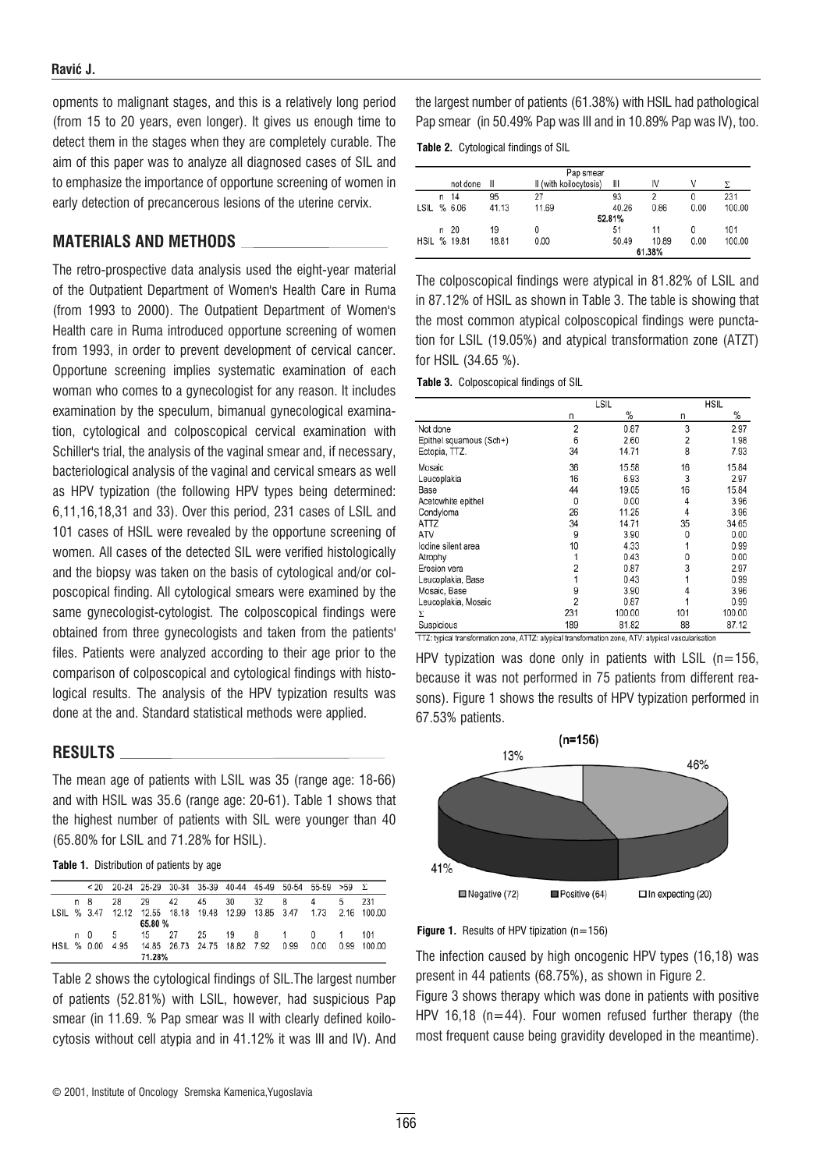opments to malignant stages, and this is a relatively long period (from 15 to 20 years, even longer). It gives us enough time to detect them in the stages when they are completely curable. The aim of this paper was to analyze all diagnosed cases of SIL and to emphasize the importance of opportune screening of women in early detection of precancerous lesions of the uterine cervix.

## MATERIALS AND METHODS

The retro-prospective data analysis used the eight-year material of the Outpatient Department of Women's Health Care in Ruma (from 1993 to 2000). The Outpatient Department of Women's Health care in Ruma introduced opportune screening of women from 1993, in order to prevent development of cervical cancer. Opportune screening implies systematic examination of each woman who comes to a gynecologist for any reason. It includes examination by the speculum, bimanual gynecological examination, cytological and colposcopical cervical examination with Schiller's trial, the analysis of the vaginal smear and, if necessary, bacteriological analysis of the vaginal and cervical smears as well as HPV typization (the following HPV types being determined: 6,11,16,18,31 and 33). Over this period, 231 cases of LSIL and 101 cases of HSIL were revealed by the opportune screening of women. All cases of the detected SIL were verified histologically and the biopsy was taken on the basis of cytological and/or colposcopical finding. All cytological smears were examined by the same gynecologist-cytologist. The colposcopical findings were obtained from three gynecologists and taken from the patients' files. Patients were analyzed according to their age prior to the comparison of colposcopical and cytological findings with histological results. The analysis of the HPV typization results was done at the and. Standard statistical methods were applied.

#### RESULTS

The mean age of patients with LSIL was 35 (range age: 18-66) and with HSIL was 35.6 (range age: 20-61). Table 1 shows that the highest number of patients with SIL were younger than 40 (65.80% for LSIL and 71.28% for HSIL).

Table 1. Distribution of patients by age

|             |     | < 20 20-24 25-29 30-34 35-39 40-44 45-49 50-54 55-59 > 59 $\Sigma$    |         |    |                              |    |          |      |      |                |        |
|-------------|-----|-----------------------------------------------------------------------|---------|----|------------------------------|----|----------|------|------|----------------|--------|
|             | n 8 | 28                                                                    | 29      | 42 | 45                           | 30 | 32       | 8    | 4    | 5              | 231    |
|             |     | LSIL % 3.47 12.12 12.55 18.18 19.48 12.99 13.85 3.47 1.73 2.16 100.00 |         |    |                              |    |          |      |      |                |        |
|             |     |                                                                       | 65.80 % |    |                              |    |          |      |      |                |        |
|             | n 0 | - 5                                                                   | 15 27   |    | 25                           |    | 19 8 1 0 |      |      | $\overline{1}$ | 101    |
| HSIL % 0.00 |     | 4.95                                                                  |         |    | 14.85 26.73 24.75 18.82 7.92 |    |          | 0.99 | 0.00 | 0.99           | 100.00 |
|             |     |                                                                       | 71.28%  |    |                              |    |          |      |      |                |        |

Table 2 shows the cytological findings of SIL.The largest number of patients (52.81%) with LSIL, however, had suspicious Pap smear (in 11.69. % Pap smear was II with clearly defined koilocytosis without cell atypia and in 41.12% it was III and IV). And the largest number of patients (61.38%) with HSIL had pathological Pap smear (in 50.49% Pap was III and in 10.89% Pap was IV), too.

Table 2. Cytological findings of SIL

| Pap smear |        |              |       |                        |        |       |      |        |
|-----------|--------|--------------|-------|------------------------|--------|-------|------|--------|
|           |        | not done     | Ш     | II (with koilocytosis) | Ш      | IV    | V    | Σ      |
|           | n.     | 14           | 95    | 27                     | 93     | 2     | 0    | 231    |
| LSIL      |        | % 6.06       | 41.13 | 11.69                  | 40.26  | 0.86  | 0.00 | 100.00 |
|           | 52.81% |              |       |                        |        |       |      |        |
|           |        | n 20         | 19    | 0                      | 51     | 11    | 0    | 101    |
|           |        | HSIL % 19.81 | 18.81 | 0.00                   | 50.49  | 10.89 | 0.00 | 100.00 |
|           |        |              |       |                        | 61.38% |       |      |        |

The colposcopical findings were atypical in 81.82% of LSIL and in 87.12% of HSIL as shown in Table 3. The table is showing that the most common atypical colposcopical findings were punctation for LSIL (19.05%) and atypical transformation zone (ATZT) for HSIL (34.65 %).

Table 3. Colposcopical findings of SIL

|                         | LSIL |        | <b>HSIL</b> |        |  |
|-------------------------|------|--------|-------------|--------|--|
|                         | n    | %      | n           | %      |  |
| Not done                | 2    | 0.87   | 3           | 2.97   |  |
| Epithel squamous (Sch+) | 6    | 2.60   | 2           | 1.98   |  |
| Ectopia, TTZ.           | 34   | 14.71  | 8           | 7.93   |  |
| Mosaic                  | 36   | 15.58  | 16          | 15.84  |  |
| Leucoplakia             | 16   | 6.93   | 3           | 2.97   |  |
| Base                    | 44   | 19.05  | 16          | 15.84  |  |
| Acetowhite epithel      | 0    | 0.00   | 4           | 3.96   |  |
| Condyloma               | 26   | 11.25  | 4           | 3.96   |  |
| ATTZ                    | 34   | 14.71  | 35          | 34.65  |  |
| ATV                     | 9    | 3.90   | 0           | 0.00   |  |
| lodine silent area      | 10   | 4.33   |             | 0.99   |  |
| Atrophy                 |      | 0.43   | 0           | 0.00   |  |
| Erosion vera            |      | 0.87   | 3           | 2.97   |  |
| Leucoplakia, Base       |      | 0.43   |             | 0.99   |  |
| Mosaic, Base            | 9    | 3.90   |             | 3.96   |  |
| Leucoplakia, Mosaic     | 2    | 0.87   |             | 0.99   |  |
| Σ                       | 231  | 100.00 | 101         | 100.00 |  |
| Suspicious              | 189  | 81.82  | 88          | 87.12  |  |

TTZ: typical transformation zone, ATTZ: atypical transformation zone, ATV: atypical vascularisation

HPV typization was done only in patients with LSIL ( $n=156$ , because it was not performed in 75 patients from different reasons). Figure 1 shows the results of HPV typization performed in 67.53% patients.



**Figure 1.** Results of HPV tipization  $(n=156)$ 

The infection caused by high oncogenic HPV types (16,18) was present in 44 patients (68.75%), as shown in Figure 2.

Figure 3 shows therapy which was done in patients with positive HPV 16,18 ( $n=44$ ). Four women refused further therapy (the most frequent cause being gravidity developed in the meantime).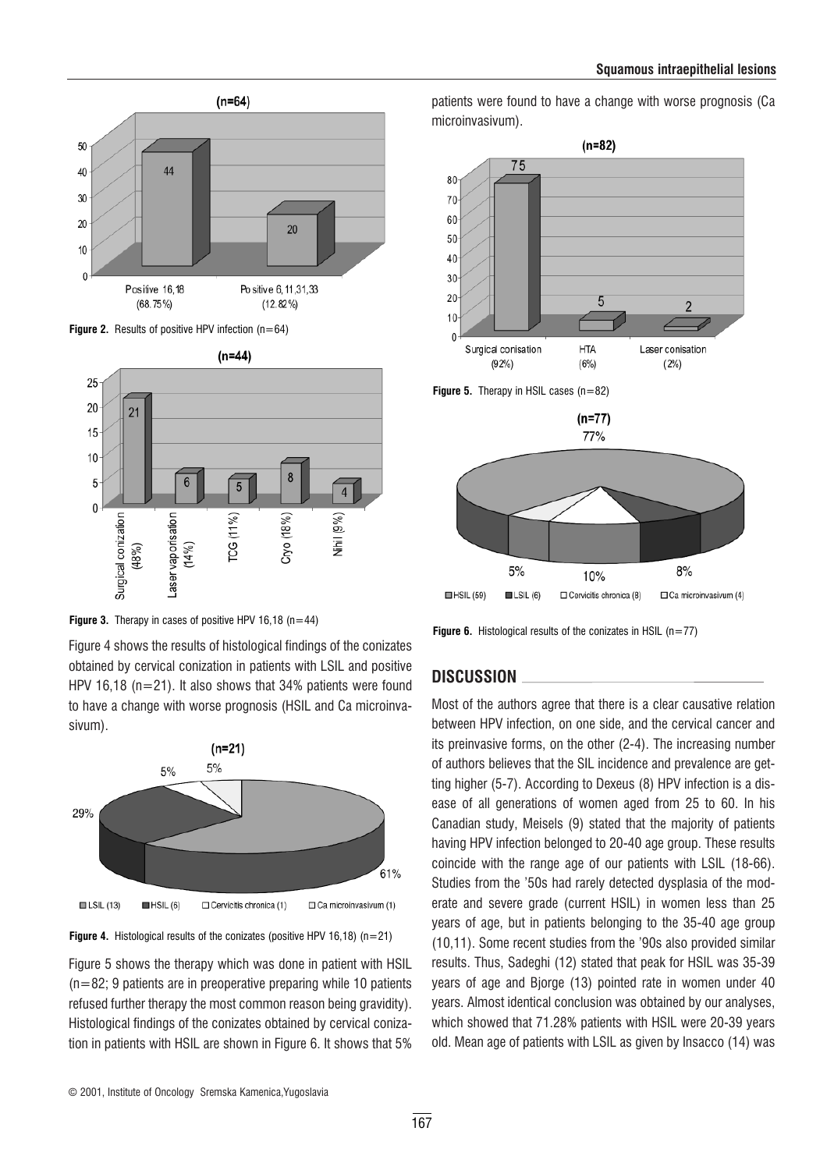







Figure 4 shows the results of histological findings of the conizates obtained by cervical conization in patients with LSIL and positive HPV 16,18 ( $n=21$ ). It also shows that 34% patients were found to have a change with worse prognosis (HSIL and Ca microinvasivum).





Figure 5 shows the therapy which was done in patient with HSIL  $(n=82; 9$  patients are in preoperative preparing while 10 patients refused further therapy the most common reason being gravidity). Histological findings of the conizates obtained by cervical conization in patients with HSIL are shown in Figure 6. It shows that 5%

patients were found to have a change with worse prognosis (Ca microinvasivum).



**Figure 6.** Histological results of the conizates in HSIL ( $n=77$ )

## DISCUSSION

Most of the authors agree that there is a clear causative relation between HPV infection, on one side, and the cervical cancer and its preinvasive forms, on the other (2-4). The increasing number of authors believes that the SIL incidence and prevalence are getting higher (5-7). According to Dexeus (8) HPV infection is a disease of all generations of women aged from 25 to 60. In his Canadian study, Meisels (9) stated that the majority of patients having HPV infection belonged to 20-40 age group. These results coincide with the range age of our patients with LSIL (18-66). Studies from the '50s had rarely detected dysplasia of the moderate and severe grade (current HSIL) in women less than 25 years of age, but in patients belonging to the 35-40 age group (10,11). Some recent studies from the '90s also provided similar results. Thus, Sadeghi (12) stated that peak for HSIL was 35-39 years of age and Bjorge (13) pointed rate in women under 40 years. Almost identical conclusion was obtained by our analyses, which showed that 71.28% patients with HSIL were 20-39 years old. Mean age of patients with LSIL as given by Insacco (14) was

© 2001, Institute of Oncology Sremska Kamenica,Yugoslavia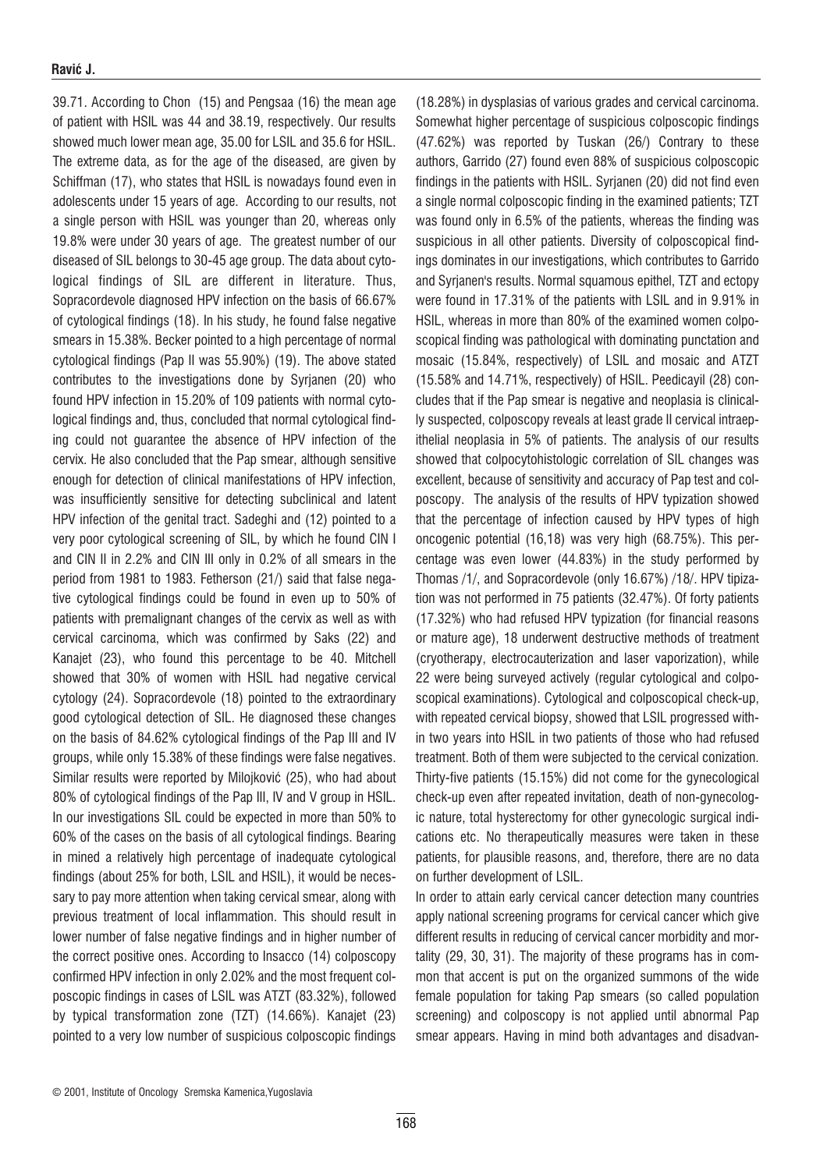39.71. According to Chon (15) and Pengsaa (16) the mean age of patient with HSIL was 44 and 38.19, respectively. Our results showed much lower mean age, 35.00 for LSIL and 35.6 for HSIL. The extreme data, as for the age of the diseased, are given by Schiffman (17), who states that HSIL is nowadays found even in adolescents under 15 years of age. According to our results, not a single person with HSIL was younger than 20, whereas only 19.8% were under 30 years of age. The greatest number of our diseased of SIL belongs to 30-45 age group. The data about cytological findings of SIL are different in literature. Thus, Sopracordevole diagnosed HPV infection on the basis of 66.67% of cytological findings (18). In his study, he found false negative smears in 15.38%. Becker pointed to a high percentage of normal cytological findings (Pap II was 55.90%) (19). The above stated contributes to the investigations done by Syrjanen (20) who found HPV infection in 15.20% of 109 patients with normal cytological findings and, thus, concluded that normal cytological finding could not guarantee the absence of HPV infection of the cervix. He also concluded that the Pap smear, although sensitive enough for detection of clinical manifestations of HPV infection, was insufficiently sensitive for detecting subclinical and latent HPV infection of the genital tract. Sadeghi and (12) pointed to a very poor cytological screening of SIL, by which he found CIN I and CIN II in 2.2% and CIN III only in 0.2% of all smears in the period from 1981 to 1983. Fetherson (21/) said that false negative cytological findings could be found in even up to 50% of patients with premalignant changes of the cervix as well as with cervical carcinoma, which was confirmed by Saks (22) and Kanajet (23), who found this percentage to be 40. Mitchell showed that 30% of women with HSIL had negative cervical cytology (24). Sopracordevole (18) pointed to the extraordinary good cytological detection of SIL. He diagnosed these changes on the basis of 84.62% cytological findings of the Pap III and IV groups, while only 15.38% of these findings were false negatives. Similar results were reported by Milojković (25), who had about 80% of cytological findings of the Pap III, IV and V group in HSIL. In our investigations SIL could be expected in more than 50% to 60% of the cases on the basis of all cytological findings. Bearing in mined a relatively high percentage of inadequate cytological findings (about 25% for both, LSIL and HSIL), it would be necessary to pay more attention when taking cervical smear, along with previous treatment of local inflammation. This should result in lower number of false negative findings and in higher number of the correct positive ones. According to Insacco (14) colposcopy confirmed HPV infection in only 2.02% and the most frequent colposcopic findings in cases of LSIL was ATZT (83.32%), followed by typical transformation zone (TZT) (14.66%). Kanajet (23) pointed to a very low number of suspicious colposcopic findings

(18.28%) in dysplasias of various grades and cervical carcinoma. Somewhat higher percentage of suspicious colposcopic findings (47.62%) was reported by Tuskan (26/) Contrary to these authors, Garrido (27) found even 88% of suspicious colposcopic findings in the patients with HSIL. Syrjanen (20) did not find even a single normal colposcopic finding in the examined patients; TZT was found only in 6.5% of the patients, whereas the finding was suspicious in all other patients. Diversity of colposcopical findings dominates in our investigations, which contributes to Garrido and Syrjanen's results. Normal squamous epithel, TZT and ectopy were found in 17.31% of the patients with LSIL and in 9.91% in HSIL, whereas in more than 80% of the examined women colposcopical finding was pathological with dominating punctation and mosaic (15.84%, respectively) of LSIL and mosaic and ATZT (15.58% and 14.71%, respectively) of HSIL. Peedicayil (28) concludes that if the Pap smear is negative and neoplasia is clinically suspected, colposcopy reveals at least grade II cervical intraepithelial neoplasia in 5% of patients. The analysis of our results showed that colpocytohistologic correlation of SIL changes was excellent, because of sensitivity and accuracy of Pap test and colposcopy. The analysis of the results of HPV typization showed that the percentage of infection caused by HPV types of high oncogenic potential (16,18) was very high (68.75%). This percentage was even lower (44.83%) in the study performed by Thomas /1/, and Sopracordevole (only 16.67%) /18/. HPV tipization was not performed in 75 patients (32.47%). Of forty patients (17.32%) who had refused HPV typization (for financial reasons or mature age), 18 underwent destructive methods of treatment (cryotherapy, electrocauterization and laser vaporization), while 22 were being surveyed actively (regular cytological and colposcopical examinations). Cytological and colposcopical check-up, with repeated cervical biopsy, showed that LSIL progressed within two years into HSIL in two patients of those who had refused treatment. Both of them were subjected to the cervical conization. Thirty-five patients (15.15%) did not come for the gynecological check-up even after repeated invitation, death of non-gynecologic nature, total hysterectomy for other gynecologic surgical indications etc. No therapeutically measures were taken in these patients, for plausible reasons, and, therefore, there are no data on further development of LSIL.

In order to attain early cervical cancer detection many countries apply national screening programs for cervical cancer which give different results in reducing of cervical cancer morbidity and mortality (29, 30, 31). The majority of these programs has in common that accent is put on the organized summons of the wide female population for taking Pap smears (so called population screening) and colposcopy is not applied until abnormal Pap smear appears. Having in mind both advantages and disadvan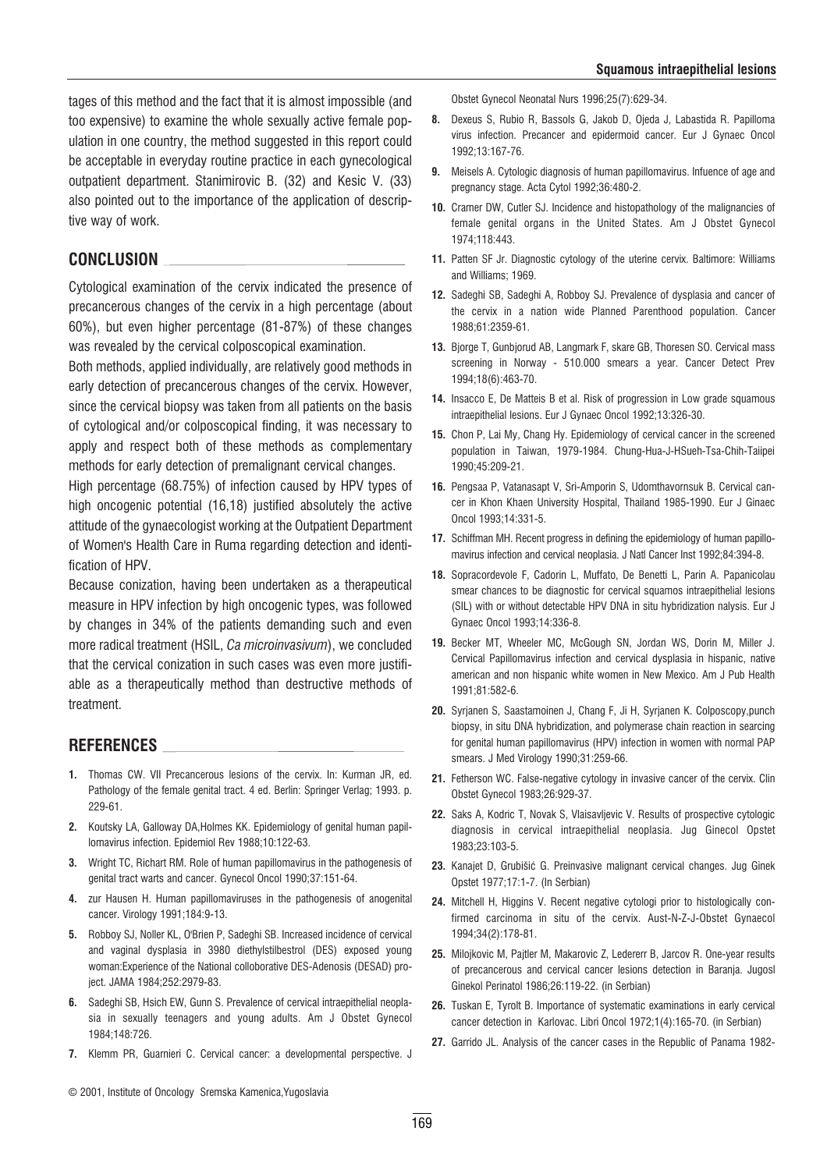tages of this method and the fact that it is almost impossible (and too expensive) to examine the whole sexually active female population in one country, the method suggested in this report could be acceptable in everyday routine practice in each gynecological outpatient department. Stanimirovic B. (32) and Kesic V. (33) also pointed out to the importance of the application of descriptive way of work.

## CONCLUSION

Cytological examination of the cervix indicated the presence of precancerous changes of the cervix in a high percentage (about 60%), but even higher percentage (81-87%) of these changes was revealed by the cervical colposcopical examination.

Both methods, applied individually, are relatively good methods in early detection of precancerous changes of the cervix. However, since the cervical biopsy was taken from all patients on the basis of cytological and/or colposcopical finding, it was necessary to apply and respect both of these methods as complementary methods for early detection of premalignant cervical changes.

High percentage (68.75%) of infection caused by HPV types of high oncogenic potential (16,18) justified absolutely the active attitude of the gynaecologist working at the Outpatient Department of Women's Health Care in Ruma regarding detection and identification of HPV.

Because conization, having been undertaken as a therapeutical measure in HPV infection by high oncogenic types, was followed by changes in 34% of the patients demanding such and even more radical treatment (HSIL, Ca microinvasivum), we concluded that the cervical conization in such cases was even more justifiable as a therapeutically method than destructive methods of treatment.

## REFERENCES

- 1. Thomas CW. VII Precancerous lesions of the cervix. In: Kurman JR, ed. Pathology of the female genital tract. 4 ed. Berlin: Springer Verlag; 1993. p. 229-61.
- 2. Koutsky LA, Galloway DA, Holmes KK. Epidemiology of genital human papillomavirus infection. Epidemiol Rev 1988;10:122-63.
- 3. Wright TC, Richart RM, Role of human papillomavirus in the pathogenesis of genital tract warts and cancer. Gynecol Oncol 1990;37:151-64.
- 4. zur Hausen H. Human papillomaviruses in the pathogenesis of anogenital cancer. Virology 1991;184:9-13.
- 5. Robboy SJ, Noller KL, O'Brien P, Sadeghi SB. Increased incidence of cervical and vaginal dysplasia in 3980 diethylstilbestrol (DES) exposed young woman:Experience of the National colloborative DES-Adenosis (DESAD) project. JAMA 1984;252:2979-83.
- 6. Sadeghi SB, Hsich EW, Gunn S. Prevalence of cervical intraepithelial neoplasia in sexually teenagers and young adults. Am J Obstet Gynecol 1984;148:726.
- 7. Klemm PR, Guarnieri C. Cervical cancer: a developmental perspective. J

Obstet Gynecol Neonatal Nurs 1996;25(7):629-34.

- 8. Dexeus S, Rubio R, Bassols G, Jakob D, Ojeda J, Labastida R. Papilloma virus infection. Precancer and epidermoid cancer. Eur J Gynaec Oncol 1992;13:167-76.
- 9. Meisels A. Cytologic diagnosis of human papillomavirus. Infuence of age and pregnancy stage. Acta Cytol 1992;36:480-2.
- 10. Cramer DW, Cutler SJ. Incidence and histopathology of the malignancies of female genital organs in the United States. Am J Obstet Gynecol 1974;118:443.
- 11. Patten SF Jr. Diagnostic cytology of the uterine cervix. Baltimore: Williams and Williams; 1969.
- 12. Sadeghi SB, Sadeghi A, Robboy SJ. Prevalence of dysplasia and cancer of the cervix in a nation wide Planned Parenthood population. Cancer 1988;61:2359-61.
- 13. Bjorge T, Gunbjorud AB, Langmark F, skare GB, Thoresen SO. Cervical mass screening in Norway - 510.000 smears a year. Cancer Detect Prev 1994;18(6):463-70.
- 14. Insacco E, De Matteis B et al. Risk of progression in Low grade squamous intraepithelial lesions. Eur J Gynaec Oncol 1992;13:326-30.
- 15. Chon P, Lai My, Chang Hy. Epidemiology of cervical cancer in the screened population in Taiwan, 1979-1984. Chung-Hua-J-HSueh-Tsa-Chih-Taiipei 1990;45:209-21.
- 16. Pengsaa P, Vatanasapt V, Sri-Amporin S, Udomthavornsuk B. Cervical cancer in Khon Khaen University Hospital, Thailand 1985-1990. Eur J Ginaec Oncol 1993;14:331-5.
- 17. Schiffman MH. Recent progress in defining the epidemiology of human papillomavirus infection and cervical neoplasia. J Natl Cancer Inst 1992;84:394-8.
- 18. Sopracordevole F, Cadorin L, Muffato, De Benetti L, Parin A. Papanicolau smear chances to be diagnostic for cervical squamos intraepithelial lesions (SIL) with or without detectable HPV DNA in situ hybridization nalysis. Eur J Gynaec Oncol 1993;14:336-8.
- 19. Becker MT, Wheeler MC, McGough SN, Jordan WS, Dorin M, Miller J. Cervical Papillomavirus infection and cervical dysplasia in hispanic, native american and non hispanic white women in New Mexico. Am J Pub Health 1991;81:582-6.
- 20. Syrjanen S, Saastamoinen J, Chang F, Ji H, Syrjanen K. Colposcopy,punch biopsy, in situ DNA hybridization, and polymerase chain reaction in searcing for genital human papillomavirus (HPV) infection in women with normal PAP smears. J Med Virology 1990;31:259-66.
- 21. Fetherson WC. False-negative cytology in invasive cancer of the cervix. Clin Obstet Gynecol 1983;26:929-37.
- 22. Saks A, Kodric T, Novak S, Vlaisavljevic V. Results of prospective cytologic diagnosis in cervical intraepithelial neoplasia. Jug Ginecol Opstet 1983;23:103-5.
- 23. Kanajet D. Grubišić G. Preinvasive malignant cervical changes. Jug Ginek Opstet 1977;17:1-7. (In Serbian)
- 24. Mitchell H, Higgins V. Recent negative cytologi prior to histologically confirmed carcinoma in situ of the cervix. Aust-N-Z-J-Obstet Gynaecol 1994;34(2):178-81.
- 25. Milojkovic M, Pajtler M, Makarovic Z, Ledererr B, Jarcov R. One-year results of precancerous and cervical cancer lesions detection in Baranja. Jugosl Ginekol Perinatol 1986;26:119-22. (in Serbian)
- 26. Tuskan E, Tyrolt B. Importance of systematic examinations in early cervical cancer detection in Karlovac. Libri Oncol 1972;1(4):165-70. (in Serbian)
- 27. Garrido JL. Analysis of the cancer cases in the Republic of Panama 1982-
- © 2001, Institute of Oncology Sremska Kamenica,Yugoslavia